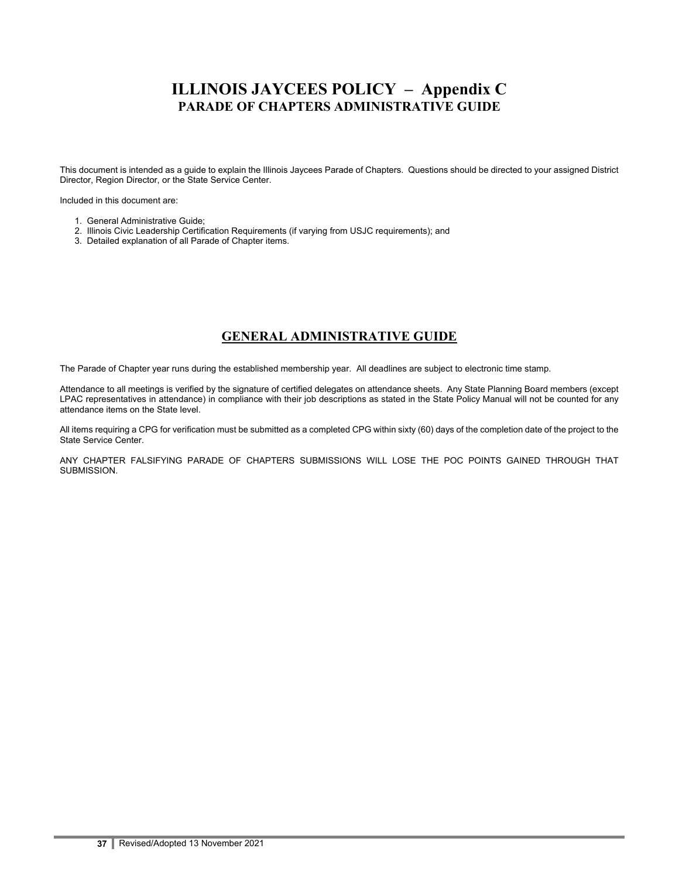## **ILLINOIS JAYCEES POLICY – Appendix C PARADE OF CHAPTERS ADMINISTRATIVE GUIDE**

This document is intended as a guide to explain the Illinois Jaycees Parade of Chapters. Questions should be directed to your assigned District Director, Region Director, or the State Service Center.

Included in this document are:

- 1. General Administrative Guide;
- 2. Illinois Civic Leadership Certification Requirements (if varying from USJC requirements); and
- 3. Detailed explanation of all Parade of Chapter items.

### **GENERAL ADMINISTRATIVE GUIDE**

The Parade of Chapter year runs during the established membership year. All deadlines are subject to electronic time stamp.

Attendance to all meetings is verified by the signature of certified delegates on attendance sheets. Any State Planning Board members (except LPAC representatives in attendance) in compliance with their job descriptions as stated in the State Policy Manual will not be counted for any attendance items on the State level.

All items requiring a CPG for verification must be submitted as a completed CPG within sixty (60) days of the completion date of the project to the State Service Center.

ANY CHAPTER FALSIFYING PARADE OF CHAPTERS SUBMISSIONS WILL LOSE THE POC POINTS GAINED THROUGH THAT SUBMISSION.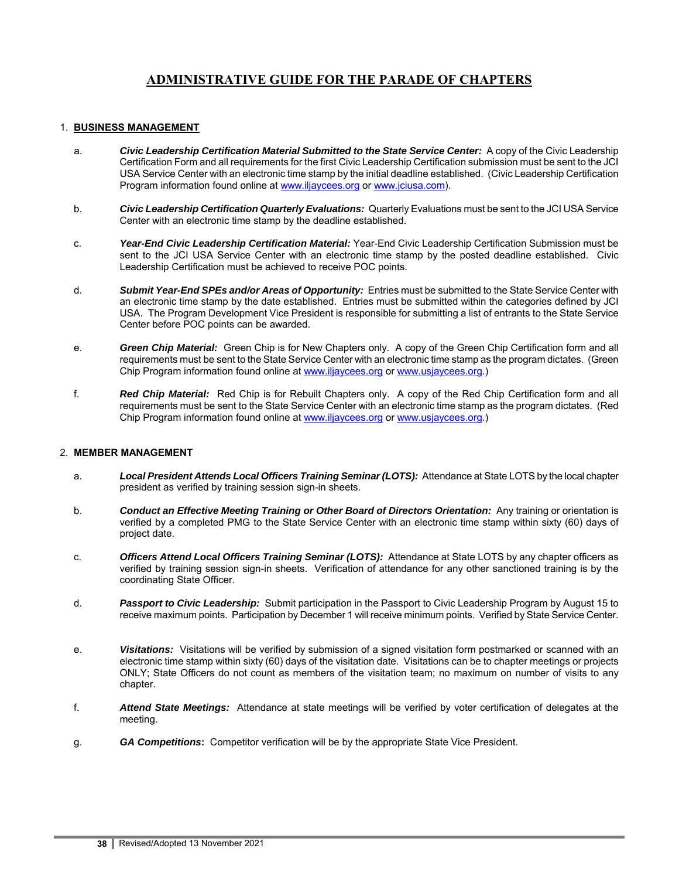## **ADMINISTRATIVE GUIDE FOR THE PARADE OF CHAPTERS**

#### 1. **BUSINESS MANAGEMENT**

- a. *Civic Leadership Certification Material Submitted to the State Service Center:* A copy of the Civic Leadership Certification Form and all requirements for the first Civic Leadership Certification submission must be sent to the JCI USA Service Center with an electronic time stamp by the initial deadline established. (Civic Leadership Certification Program information found online at www.iljaycees.org or www.jciusa.com).
- b. *Civic Leadership Certification Quarterly Evaluations:* Quarterly Evaluations must be sent to the JCI USA Service Center with an electronic time stamp by the deadline established.
- c. *Year-End Civic Leadership Certification Material:* Year-End Civic Leadership Certification Submission must be sent to the JCI USA Service Center with an electronic time stamp by the posted deadline established. Civic Leadership Certification must be achieved to receive POC points.
- d. *Submit Year-End SPEs and/or Areas of Opportunity:* Entries must be submitted to the State Service Center with an electronic time stamp by the date established. Entries must be submitted within the categories defined by JCI USA. The Program Development Vice President is responsible for submitting a list of entrants to the State Service Center before POC points can be awarded.
- e. *Green Chip Material:* Green Chip is for New Chapters only. A copy of the Green Chip Certification form and all requirements must be sent to the State Service Center with an electronic time stamp as the program dictates. (Green Chip Program information found online at www.iljaycees.org or www.usjaycees.org.)
- f. *Red Chip Material:* Red Chip is for Rebuilt Chapters only. A copy of the Red Chip Certification form and all requirements must be sent to the State Service Center with an electronic time stamp as the program dictates. (Red Chip Program information found online at www.iljaycees.org or www.usjaycees.org.)

#### 2. **MEMBER MANAGEMENT**

- a. *Local President Attends Local Officers Training Seminar (LOTS):* Attendance at State LOTS by the local chapter president as verified by training session sign-in sheets.
- b. *Conduct an Effective Meeting Training or Other Board of Directors Orientation:* Any training or orientation is verified by a completed PMG to the State Service Center with an electronic time stamp within sixty (60) days of project date.
- c. *Officers Attend Local Officers Training Seminar (LOTS):* Attendance at State LOTS by any chapter officers as verified by training session sign-in sheets. Verification of attendance for any other sanctioned training is by the coordinating State Officer.
- d. *Passport to Civic Leadership:* Submit participation in the Passport to Civic Leadership Program by August 15 to receive maximum points. Participation by December 1 will receive minimum points. Verified by State Service Center.
- e. *Visitations:* Visitations will be verified by submission of a signed visitation form postmarked or scanned with an electronic time stamp within sixty (60) days of the visitation date. Visitations can be to chapter meetings or projects ONLY; State Officers do not count as members of the visitation team; no maximum on number of visits to any chapter.
- f. *Attend State Meetings:* Attendance at state meetings will be verified by voter certification of delegates at the meeting.
- g. *GA Competitions***:** Competitor verification will be by the appropriate State Vice President.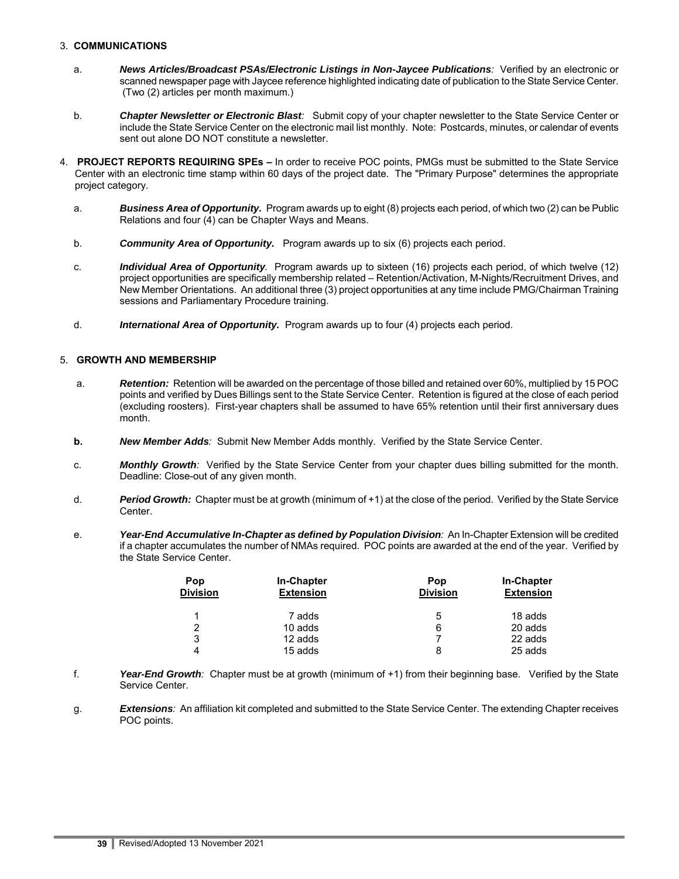#### 3. **COMMUNICATIONS**

- a. *News Articles/Broadcast PSAs/Electronic Listings in Non-Jaycee Publications:* Verified by an electronic or scanned newspaper page with Jaycee reference highlighted indicating date of publication to the State Service Center. (Two (2) articles per month maximum.)
- b. *Chapter Newsletter or Electronic Blast:* Submit copy of your chapter newsletter to the State Service Center or include the State Service Center on the electronic mail list monthly. Note: Postcards, minutes, or calendar of events sent out alone DO NOT constitute a newsletter.
- 4. **PROJECT REPORTS REQUIRING SPEs –** In order to receive POC points, PMGs must be submitted to the State Service Center with an electronic time stamp within 60 days of the project date. The "Primary Purpose" determines the appropriate project category.
	- a.*Business Area of Opportunity.* Program awards up to eight (8) projects each period, of which two (2) can be Public Relations and four (4) can be Chapter Ways and Means.
	- b. *Community Area of Opportunity.* Program awards up to six (6) projects each period.
	- c. *Individual Area of Opportunity.* Program awards up to sixteen (16) projects each period, of which twelve (12) project opportunities are specifically membership related – Retention/Activation, M-Nights/Recruitment Drives, and New Member Orientations. An additional three (3) project opportunities at any time include PMG/Chairman Training sessions and Parliamentary Procedure training.
	- d.*International Area of Opportunity.* Program awards up to four (4) projects each period.

#### 5. **GROWTH AND MEMBERSHIP**

- a. *Retention:* Retention will be awarded on the percentage of those billed and retained over 60%, multiplied by 15 POC points and verified by Dues Billings sent to the State Service Center. Retention is figured at the close of each period (excluding roosters). First-year chapters shall be assumed to have 65% retention until their first anniversary dues month.
- **b.** *New Member Adds:* Submit New Member Adds monthly. Verified by the State Service Center.
- c. *Monthly Growth:* Verified by the State Service Center from your chapter dues billing submitted for the month. Deadline: Close-out of any given month.
- d. *Period Growth:*Chapter must be at growth (minimum of +1) at the close of the period. Verified by the State Service Center.
- e. *Year-End Accumulative In-Chapter as defined by Population Division:* An In-Chapter Extension will be credited if a chapter accumulates the number of NMAs required. POC points are awarded at the end of the year. Verified by the State Service Center.

| Pop<br><b>Division</b> | In-Chapter<br><b>Extension</b> | Pop<br><b>Division</b> | In-Chapter<br><b>Extension</b> |
|------------------------|--------------------------------|------------------------|--------------------------------|
|                        | 7 adds                         | 5                      | 18 adds                        |
| っ                      | 10 adds                        | 6                      | 20 adds                        |
| 3                      | 12 adds                        |                        | 22 adds                        |
| 4                      | 15 adds                        |                        | 25 adds                        |

- f. *Year-End Growth:* Chapter must be at growth (minimum of +1) from their beginning base. Verified by the State Service Center.
- g. *Extensions:* An affiliation kit completed and submitted to the State Service Center. The extending Chapter receives POC points.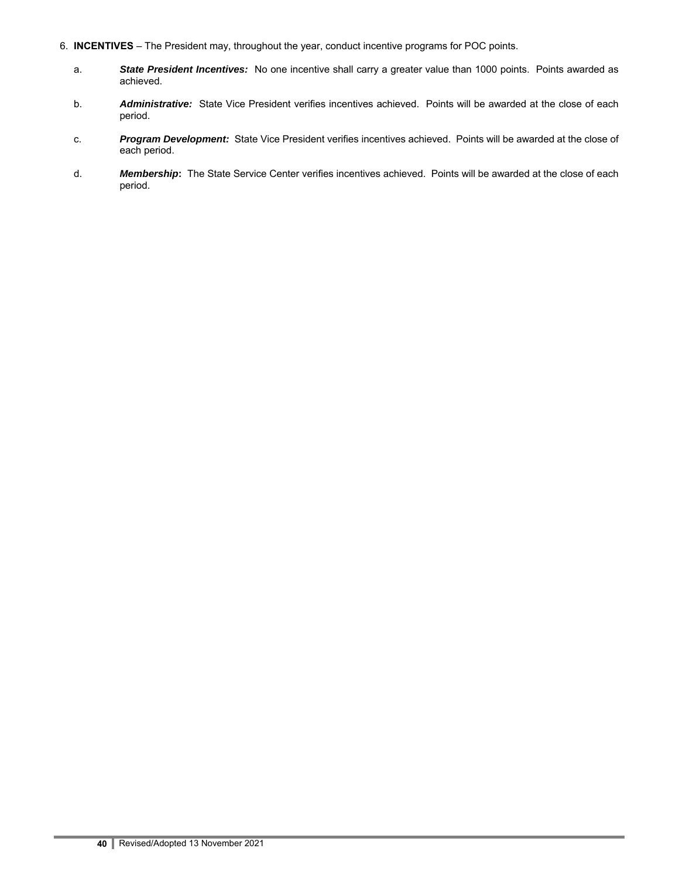- 6. **INCENTIVES** The President may, throughout the year, conduct incentive programs for POC points.
	- a. *State President Incentives:* No one incentive shall carry a greater value than 1000 points. Points awarded as achieved.
	- b. *Administrative:* State Vice President verifies incentives achieved. Points will be awarded at the close of each period.
	- c. *Program Development:* State Vice President verifies incentives achieved. Points will be awarded at the close of each period.
	- d. *Membership***:** The State Service Center verifies incentives achieved. Points will be awarded at the close of each period.